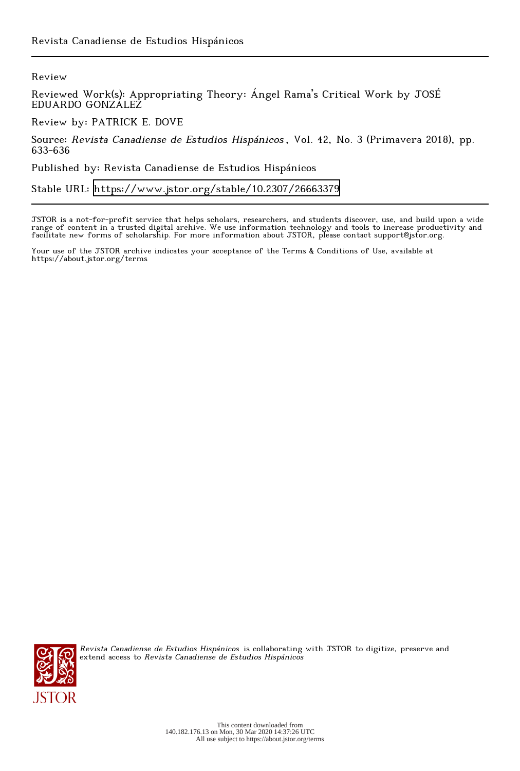Review

Reviewed Work(s): Appropriating Theory: Ángel Rama's Critical Work by JOSÉ EDUARDO GONZÁLEZ

Review by: PATRICK E. DOVE

Source: Revista Canadiense de Estudios Hispánicos , Vol. 42, No. 3 (Primavera 2018), pp. 633-636

Published by: Revista Canadiense de Estudios Hispánicos

Stable URL:<https://www.jstor.org/stable/10.2307/26663379>

JSTOR is a not-for-profit service that helps scholars, researchers, and students discover, use, and build upon a wide range of content in a trusted digital archive. We use information technology and tools to increase productivity and facilitate new forms of scholarship. For more information about JSTOR, please contact support@jstor.org.

Your use of the JSTOR archive indicates your acceptance of the Terms & Conditions of Use, available at https://about.jstor.org/terms



Revista Canadiense de Estudios Hispánicos is collaborating with JSTOR to digitize, preserve and extend access to Revista Canadiense de Estudios Hispánicos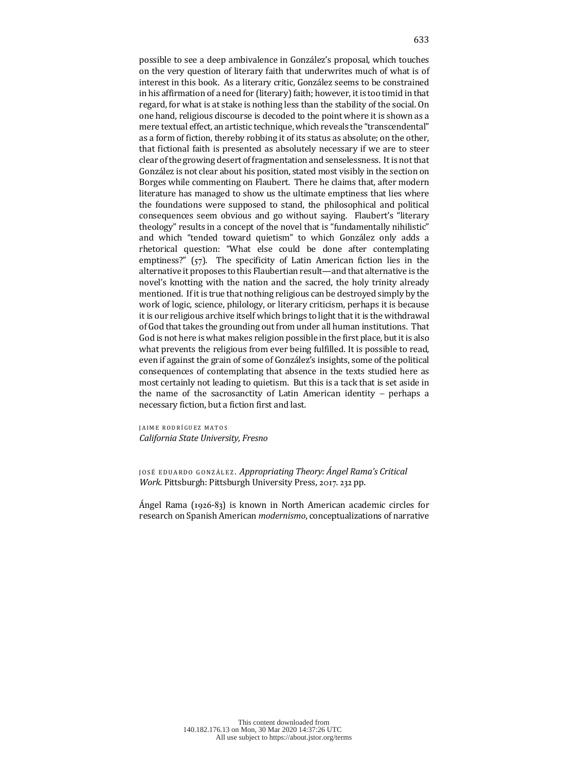possible to see a deep ambivalence in González's proposal, which touches on the very question of literary faith that underwrites much of what is of interest in this book. As a literary critic, González seems to be constrained in his affirmation of a need for (literary) faith; however, it is too timid in that regard, for what is at stake is nothing less than the stability of the social. On one hand, religious discourse is decoded to the point where it is shown as a mere textual effect, an artistic technique, which reveals the "transcendental" as a form of fiction, thereby robbing it of its status as absolute; on the other, that fictional faith is presented as absolutely necessary if we are to steer clear of the growing desert of fragmentation and senselessness. It is not that González is not clear about his position, stated most visibly in the section on Borges while commenting on Flaubert. There he claims that, after modern literature has managed to show us the ultimate emptiness that lies where the foundations were supposed to stand, the philosophical and political consequences seem obvious and go without saying. Flaubert's "literary theology" results in a concept of the novel that is "fundamentally nihilistic" and which "tended toward quietism" to which González only adds a rhetorical question: "What else could be done after contemplating emptiness?"  $(57)$ . The specificity of Latin American fiction lies in the alternative it proposes to this Flaubertian result—and that alternative is the novel's knotting with the nation and the sacred, the holy trinity already mentioned. If it is true that nothing religious can be destroyed simply by the work of logic, science, philology, or literary criticism, perhaps it is because it is our religious archive itself which brings to light that it is the withdrawal of God that takes the grounding out from under all human institutions. That God is not here is what makes religion possible in the first place, but it is also what prevents the religious from ever being fulfilled. It is possible to read, even if against the grain of some of González's insights, some of the political consequences of contemplating that absence in the texts studied here as most certainly not leading to quietism. But this is a tack that is set aside in the name of the sacrosanctity of Latin American identity  $-$  perhaps a necessary fiction, but a fiction first and last.

JAIME RODRÍGUEZ MATOS *California State University, Fresno*

JOSÉ EDUARDO GONZÁLEZ. Appropriating Theory: Ángel Rama's Critical *Work*. Pittsburgh: Pittsburgh University Press, 2017. 232 pp.

Ángel Rama (1926-83) is known in North American academic circles for research on Spanish American *modernismo*, conceptualizations of narrative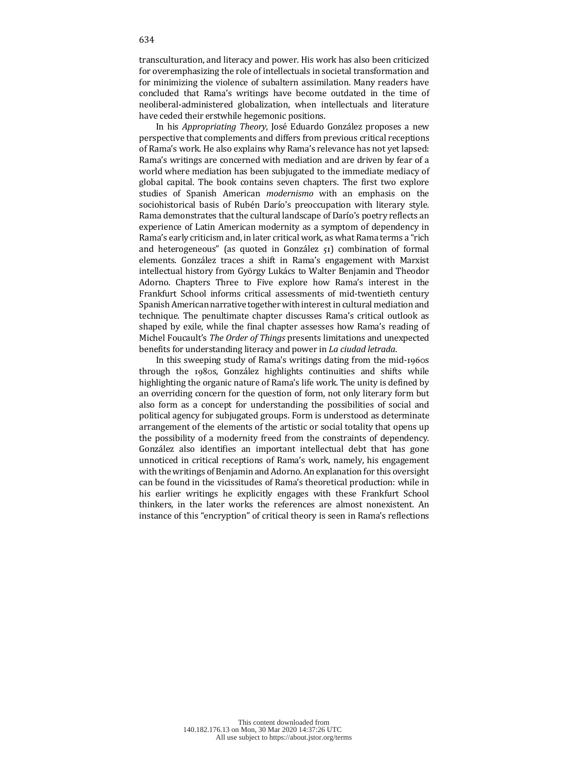transculturation, and literacy and power. His work has also been criticized for overemphasizing the role of intellectuals in societal transformation and for minimizing the violence of subaltern assimilation. Many readers have concluded that Rama's writings have become outdated in the time of neoliberal-administered globalization, when intellectuals and literature have ceded their erstwhile hegemonic positions.

In his *Appropriating Theory*, José Eduardo González proposes a new perspective that complements and differs from previous critical receptions of Rama's work. He also explains why Rama's relevance has not yet lapsed: Rama's writings are concerned with mediation and are driven by fear of a world where mediation has been subjugated to the immediate mediacy of global capital. The book contains seven chapters. The first two explore studies of Spanish American *modernismo* with an emphasis on the sociohistorical basis of Rubén Darío's preoccupation with literary style. Rama demonstrates that the cultural landscape of Darío's poetry reflects an experience of Latin American modernity as a symptom of dependency in Rama's early criticism and, in later critical work, as what Rama terms a "rich and heterogeneous" (as quoted in González  $\tau$ ) combination of formal elements. González traces a shift in Rama's engagement with Marxist intellectual history from György Lukács to Walter Benjamin and Theodor Adorno. Chapters Three to Five explore how Rama's interest in the Frankfurt School informs critical assessments of mid-twentieth century Spanish American narrative together with interest in cultural mediation and technique. The penultimate chapter discusses Rama's critical outlook as shaped by exile, while the final chapter assesses how Rama's reading of Michel Foucault's *The Order of Things* presents limitations and unexpected benefits for understanding literacy and power in *La ciudad letrada*.

In this sweeping study of Rama's writings dating from the mid-1960s through the 1980s, González highlights continuities and shifts while highlighting the organic nature of Rama's life work. The unity is defined by an overriding concern for the question of form, not only literary form but also form as a concept for understanding the possibilities of social and political agency for subjugated groups. Form is understood as determinate arrangement of the elements of the artistic or social totality that opens up the possibility of a modernity freed from the constraints of dependency. González also identifies an important intellectual debt that has gone unnoticed in critical receptions of Rama's work, namely, his engagement with the writings of Benjamin and Adorno. An explanation for this oversight can be found in the vicissitudes of Rama's theoretical production: while in his earlier writings he explicitly engages with these Frankfurt School thinkers, in the later works the references are almost nonexistent. An instance of this "encryption" of critical theory is seen in Rama's reflections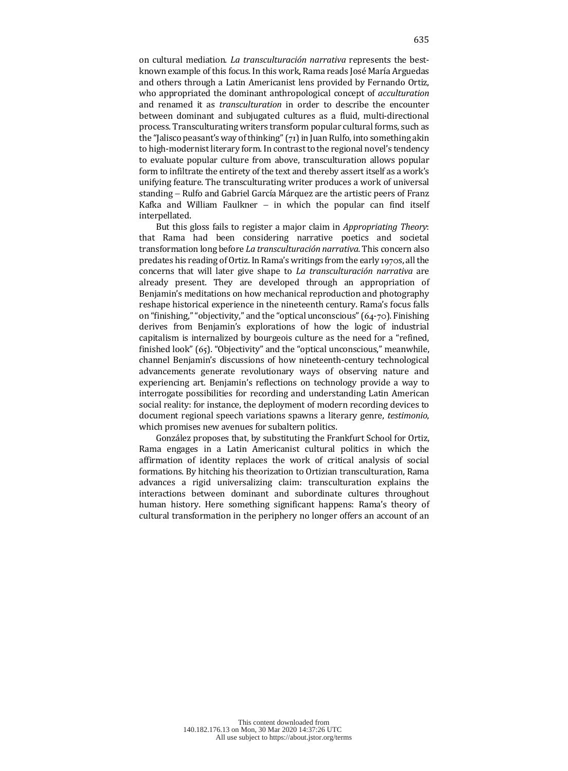on cultural mediation. *La transculturación narrativa* represents the bestknown example of this focus. In this work, Rama reads José María Arguedas and others through a Latin Americanist lens provided by Fernando Ortiz, who appropriated the dominant anthropological concept of *acculturation* and renamed it as *transculturation* in order to describe the encounter between dominant and subjugated cultures as a fluid, multi-directional process. Transculturating writers transform popular cultural forms, such as the "Jalisco peasant's way of thinking"  $(71)$  in Juan Rulfo, into something akin to high-modernist literary form. In contrast to the regional novel's tendency to evaluate popular culture from above, transculturation allows popular form to infiltrate the entirety of the text and thereby assert itself as a work's unifying feature. The transculturating writer produces a work of universal standing – Rulfo and Gabriel García Márquez are the artistic peers of Franz Kafka and William Faulkner  $-$  in which the popular can find itself interpellated. 

But this gloss fails to register a major claim in *Appropriating Theory*: that Rama had been considering narrative poetics and societal transformation long before *La transculturación narrativa*. This concern also predates his reading of Ortiz. In Rama's writings from the early 1970s, all the concerns that will later give shape to *La transculturación narrativa* are already present. They are developed through an appropriation of Benjamin's meditations on how mechanical reproduction and photography reshape historical experience in the nineteenth century. Rama's focus falls on "finishing," "objectivity," and the "optical unconscious"  $(64-70)$ . Finishing derives from Benjamin's explorations of how the logic of industrial capitalism is internalized by bourgeois culture as the need for a "refined, finished look"  $(65)$ . "Objectivity" and the "optical unconscious," meanwhile, channel Benjamin's discussions of how nineteenth-century technological advancements generate revolutionary ways of observing nature and experiencing art. Benjamin's reflections on technology provide a way to interrogate possibilities for recording and understanding Latin American social reality: for instance, the deployment of modern recording devices to document regional speech variations spawns a literary genre, *testimonio*, which promises new avenues for subaltern politics.

González proposes that, by substituting the Frankfurt School for Ortiz, Rama engages in a Latin Americanist cultural politics in which the affirmation of identity replaces the work of critical analysis of social formations. By hitching his theorization to Ortizian transculturation, Rama advances a rigid universalizing claim: transculturation explains the interactions between dominant and subordinate cultures throughout human history. Here something significant happens: Rama's theory of cultural transformation in the periphery no longer offers an account of an